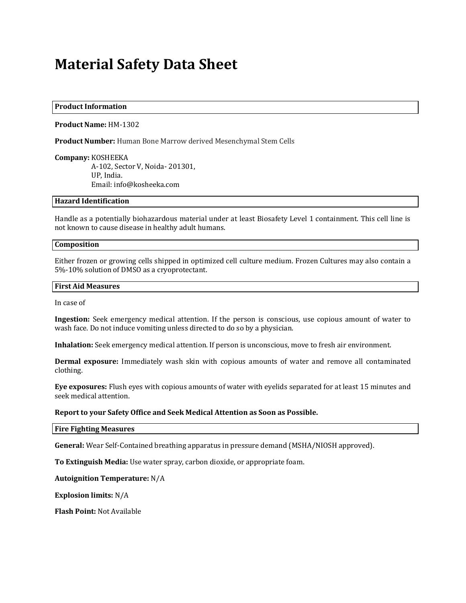# **Material Safety Data Sheet**

#### **Product Information**

#### **Product Name:** HM-1302

**Product Number:** Human Bone Marrow derived Mesenchymal Stem Cells

**Company:** KOSHEEKA A-102, Sector V, Noida- 201301, UP, India. Email: info@kosheeka.com

## **Hazard Identification**

Handle as a potentially biohazardous material under at least Biosafety Level 1 containment. This cell line is not known to cause disease in healthy adult humans.

#### **Composition**

Either frozen or growing cells shipped in optimized cell culture medium. Frozen Cultures may also contain a 5%-10% solution of DMSO as a cryoprotectant.

#### **First Aid Measures**

In case of

**Ingestion:** Seek emergency medical attention. If the person is conscious, use copious amount of water to wash face. Do not induce vomiting unless directed to do so by a physician.

**Inhalation:** Seek emergency medical attention. If person is unconscious, move to fresh air environment.

**Dermal exposure:** Immediately wash skin with copious amounts of water and remove all contaminated clothing.

**Eye exposures:** Flush eyes with copious amounts of water with eyelids separated for at least 15 minutes and seek medical attention.

## **Report to your Safety Office and Seek Medical Attention as Soon as Possible.**

**Fire Fighting Measures**

**General:** Wear Self-Contained breathing apparatus in pressure demand (MSHA/NIOSH approved).

**To Extinguish Media:** Use water spray, carbon dioxide, or appropriate foam.

**Autoignition Temperature:** N/A

**Explosion limits:** N/A

**Flash Point:** Not Available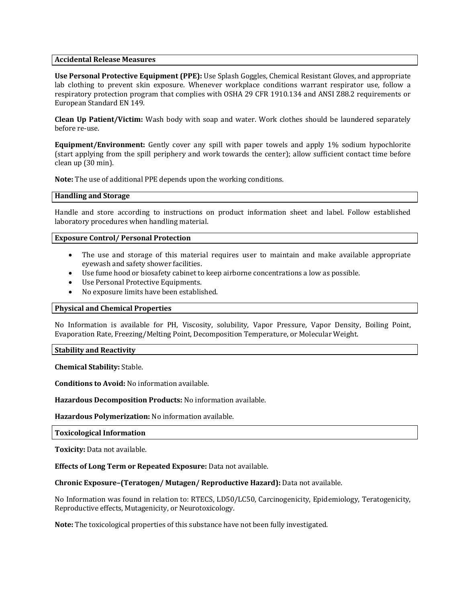## **Accidental Release Measures**

**Use Personal Protective Equipment (PPE):** Use Splash Goggles, Chemical Resistant Gloves, and appropriate lab clothing to prevent skin exposure. Whenever workplace conditions warrant respirator use, follow a respiratory protection program that complies with OSHA 29 CFR 1910.134 and ANSI Z88.2 requirements or European Standard EN 149.

**Clean Up Patient/Victim:** Wash body with soap and water. Work clothes should be laundered separately before re-use.

**Equipment/Environment:** Gently cover any spill with paper towels and apply 1% sodium hypochlorite (start applying from the spill periphery and work towards the center); allow sufficient contact time before clean up (30 min).

**Note:** The use of additional PPE depends upon the working conditions.

## **Handling and Storage**

Handle and store according to instructions on product information sheet and label. Follow established laboratory procedures when handling material.

## **Exposure Control/ Personal Protection**

- The use and storage of this material requires user to maintain and make available appropriate eyewash and safety shower facilities.
- Use fume hood or biosafety cabinet to keep airborne concentrations a low as possible.
- Use Personal Protective Equipments.
- No exposure limits have been established.

## **Physical and Chemical Properties**

No Information is available for PH, Viscosity, solubility, Vapor Pressure, Vapor Density, Boiling Point, Evaporation Rate, Freezing/Melting Point, Decomposition Temperature, or Molecular Weight.

#### **Stability and Reactivity**

**Chemical Stability:** Stable.

**Conditions to Avoid:** No information available.

**Hazardous Decomposition Products:** No information available.

#### **Hazardous Polymerization:** No information available.

#### **Toxicological Information**

**Toxicity:** Data not available.

**Effects of Long Term or Repeated Exposure:** Data not available.

## **Chronic Exposure–(Teratogen/ Mutagen/ Reproductive Hazard):** Data not available.

No Information was found in relation to: RTECS, LD50/LC50, Carcinogenicity, Epidemiology, Teratogenicity, Reproductive effects, Mutagenicity, or Neurotoxicology.

**Note:** The toxicological properties of this substance have not been fully investigated.